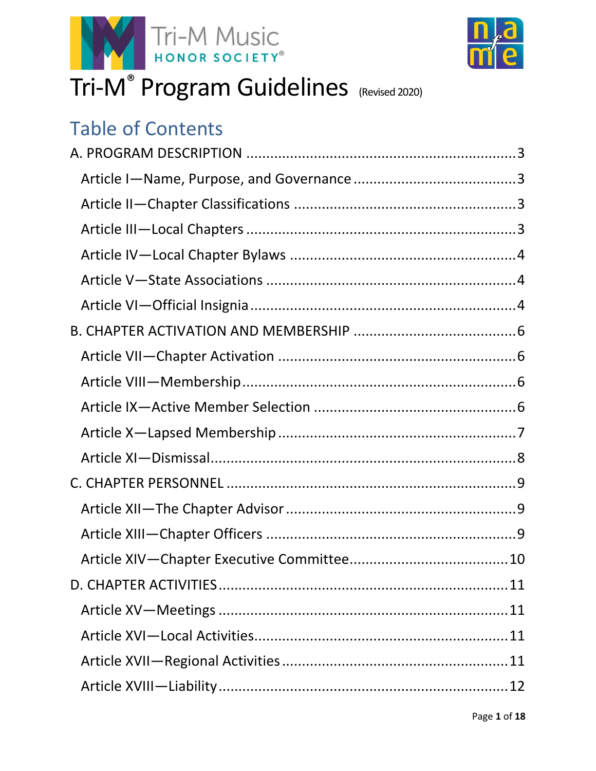



# Tri-M® Program Guidelines (Revised 2020)

# Table of Contents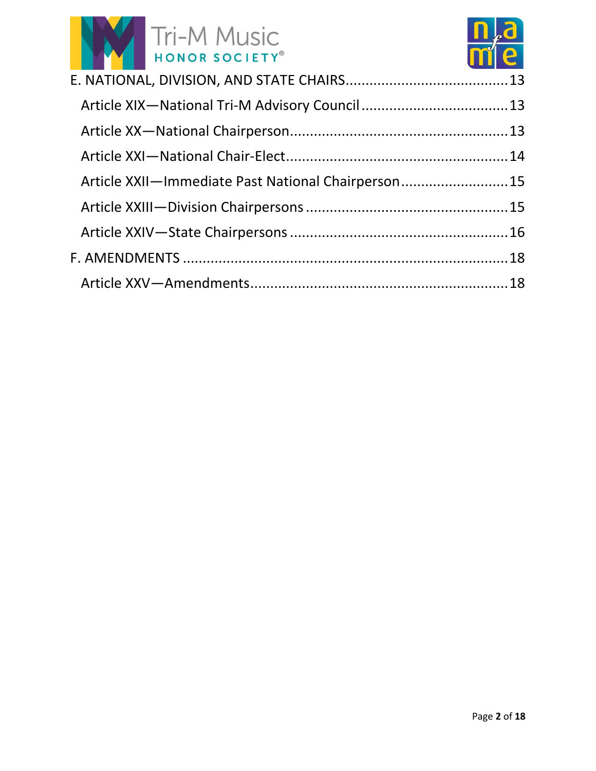



| Article XXII-Immediate Past National Chairperson 15 |  |
|-----------------------------------------------------|--|
|                                                     |  |
|                                                     |  |
|                                                     |  |
|                                                     |  |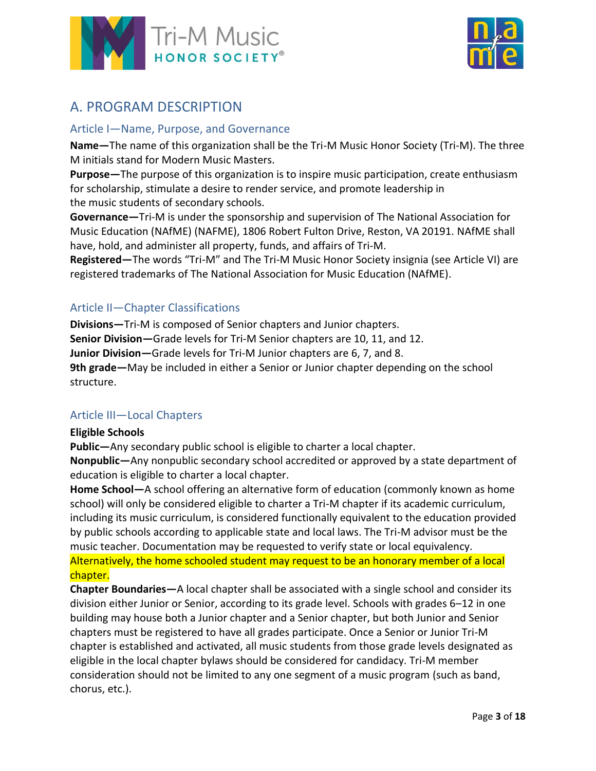



# <span id="page-2-0"></span>A. PROGRAM DESCRIPTION

#### <span id="page-2-1"></span>Article I—Name, Purpose, and Governance

**Name—**The name of this organization shall be the Tri-M Music Honor Society (Tri-M). The three M initials stand for Modern Music Masters.

**Purpose—**The purpose of this organization is to inspire music participation, create enthusiasm for scholarship, stimulate a desire to render service, and promote leadership in the music students of secondary schools.

**Governance—**Tri-M is under the sponsorship and supervision of The National Association for Music Education (NAfME) (NAFME), 1806 Robert Fulton Drive, Reston, VA 20191. NAfME shall have, hold, and administer all property, funds, and affairs of Tri-M.

**Registered—**The words "Tri-M" and The Tri-M Music Honor Society insignia (see Article VI) are registered trademarks of The National Association for Music Education (NAfME).

#### <span id="page-2-2"></span>Article II—Chapter Classifications

**Divisions—**Tri-M is composed of Senior chapters and Junior chapters. **Senior Division—**Grade levels for Tri-M Senior chapters are 10, 11, and 12. **Junior Division—**Grade levels for Tri-M Junior chapters are 6, 7, and 8. **9th grade—**May be included in either a Senior or Junior chapter depending on the school structure.

#### <span id="page-2-3"></span>Article III—Local Chapters

#### **Eligible Schools**

**Public—**Any secondary public school is eligible to charter a local chapter.

**Nonpublic—**Any nonpublic secondary school accredited or approved by a state department of education is eligible to charter a local chapter.

**Home School—**A school offering an alternative form of education (commonly known as home school) will only be considered eligible to charter a Tri-M chapter if its academic curriculum, including its music curriculum, is considered functionally equivalent to the education provided by public schools according to applicable state and local laws. The Tri-M advisor must be the music teacher. Documentation may be requested to verify state or local equivalency. Alternatively, the home schooled student may request to be an honorary member of a local chapter.

**Chapter Boundaries—**A local chapter shall be associated with a single school and consider its division either Junior or Senior, according to its grade level. Schools with grades 6–12 in one building may house both a Junior chapter and a Senior chapter, but both Junior and Senior chapters must be registered to have all grades participate. Once a Senior or Junior Tri-M chapter is established and activated, all music students from those grade levels designated as eligible in the local chapter bylaws should be considered for candidacy. Tri-M member consideration should not be limited to any one segment of a music program (such as band, chorus, etc.).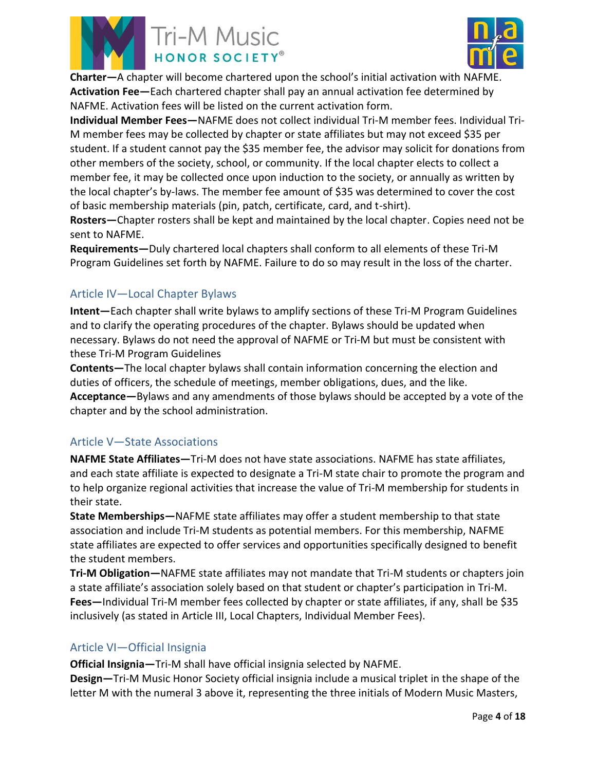



**Charter—**A chapter will become chartered upon the school's initial activation with NAFME. **Activation Fee—**Each chartered chapter shall pay an annual activation fee determined by NAFME. Activation fees will be listed on the current activation form.

**Individual Member Fees—**NAFME does not collect individual Tri-M member fees. Individual Tri-M member fees may be collected by chapter or state affiliates but may not exceed \$35 per student. If a student cannot pay the \$35 member fee, the advisor may solicit for donations from other members of the society, school, or community. If the local chapter elects to collect a member fee, it may be collected once upon induction to the society, or annually as written by the local chapter's by-laws. The member fee amount of \$35 was determined to cover the cost of basic membership materials (pin, patch, certificate, card, and t-shirt).

**Rosters—**Chapter rosters shall be kept and maintained by the local chapter. Copies need not be sent to NAFME.

**Requirements—**Duly chartered local chapters shall conform to all elements of these Tri-M Program Guidelines set forth by NAFME. Failure to do so may result in the loss of the charter.

#### <span id="page-3-0"></span>Article IV—Local Chapter Bylaws

**Intent—**Each chapter shall write bylaws to amplify sections of these Tri-M Program Guidelines and to clarify the operating procedures of the chapter. Bylaws should be updated when necessary. Bylaws do not need the approval of NAFME or Tri-M but must be consistent with these Tri-M Program Guidelines

**Contents—**The local chapter bylaws shall contain information concerning the election and duties of officers, the schedule of meetings, member obligations, dues, and the like. **Acceptance—**Bylaws and any amendments of those bylaws should be accepted by a vote of the chapter and by the school administration.

#### <span id="page-3-1"></span>Article V—State Associations

**NAFME State Affiliates—**Tri-M does not have state associations. NAFME has state affiliates, and each state affiliate is expected to designate a Tri-M state chair to promote the program and to help organize regional activities that increase the value of Tri-M membership for students in their state.

**State Memberships—**NAFME state affiliates may offer a student membership to that state association and include Tri-M students as potential members. For this membership, NAFME state affiliates are expected to offer services and opportunities specifically designed to benefit the student members.

**Tri-M Obligation—**NAFME state affiliates may not mandate that Tri-M students or chapters join a state affiliate's association solely based on that student or chapter's participation in Tri-M. **Fees—**Individual Tri-M member fees collected by chapter or state affiliates, if any, shall be \$35 inclusively (as stated in Article III, Local Chapters, Individual Member Fees).

#### <span id="page-3-2"></span>Article VI—Official Insignia

**Official Insignia—**Tri-M shall have official insignia selected by NAFME.

**Design—**Tri-M Music Honor Society official insignia include a musical triplet in the shape of the letter M with the numeral 3 above it, representing the three initials of Modern Music Masters,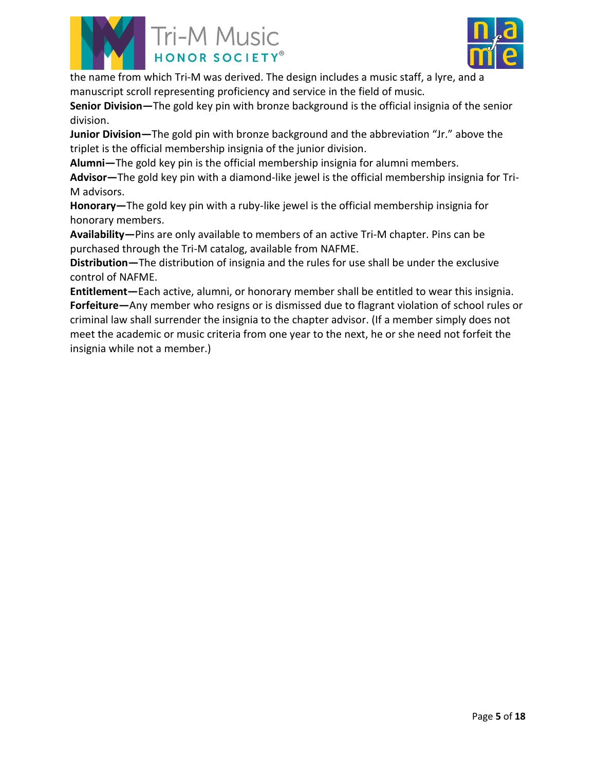



the name from which Tri-M was derived. The design includes a music staff, a lyre, and a manuscript scroll representing proficiency and service in the field of music.

**Senior Division—**The gold key pin with bronze background is the official insignia of the senior division.

**Junior Division—**The gold pin with bronze background and the abbreviation "Jr." above the triplet is the official membership insignia of the junior division.

**Alumni—**The gold key pin is the official membership insignia for alumni members.

**Advisor—**The gold key pin with a diamond-like jewel is the official membership insignia for Tri-M advisors.

**Honorary—**The gold key pin with a ruby-like jewel is the official membership insignia for honorary members.

**Availability—**Pins are only available to members of an active Tri-M chapter. Pins can be purchased through the Tri-M catalog, available from NAFME.

**Distribution—**The distribution of insignia and the rules for use shall be under the exclusive control of NAFME.

**Entitlement—**Each active, alumni, or honorary member shall be entitled to wear this insignia. **Forfeiture—**Any member who resigns or is dismissed due to flagrant violation of school rules or criminal law shall surrender the insignia to the chapter advisor. (If a member simply does not meet the academic or music criteria from one year to the next, he or she need not forfeit the insignia while not a member.)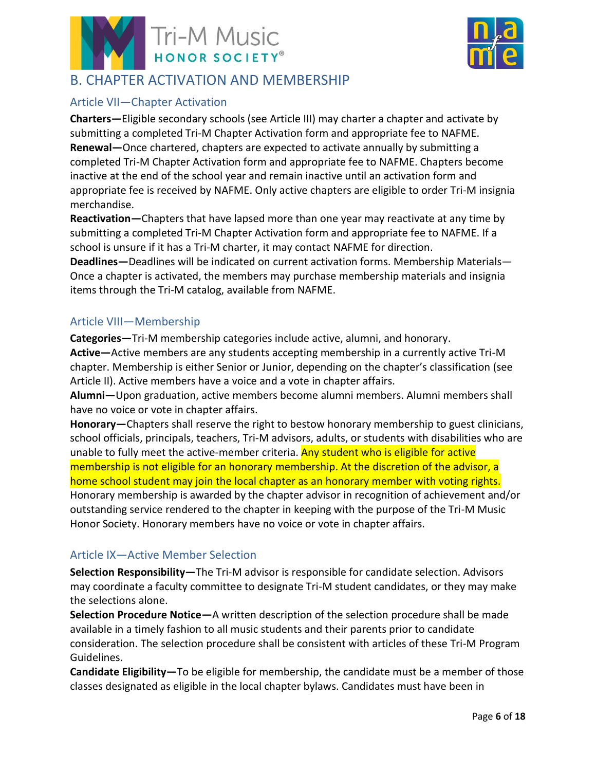



### <span id="page-5-0"></span>B. CHAPTER ACTIVATION AND MEMBERSHIP

#### <span id="page-5-1"></span>Article VII—Chapter Activation

**Charters—**Eligible secondary schools (see Article III) may charter a chapter and activate by submitting a completed Tri-M Chapter Activation form and appropriate fee to NAFME. **Renewal—**Once chartered, chapters are expected to activate annually by submitting a completed Tri-M Chapter Activation form and appropriate fee to NAFME. Chapters become inactive at the end of the school year and remain inactive until an activation form and appropriate fee is received by NAFME. Only active chapters are eligible to order Tri-M insignia merchandise.

**Reactivation—**Chapters that have lapsed more than one year may reactivate at any time by submitting a completed Tri-M Chapter Activation form and appropriate fee to NAFME. If a school is unsure if it has a Tri-M charter, it may contact NAFME for direction.

**Deadlines—**Deadlines will be indicated on current activation forms. Membership Materials— Once a chapter is activated, the members may purchase membership materials and insignia items through the Tri-M catalog, available from NAFME.

#### <span id="page-5-2"></span>Article VIII—Membership

**Categories—**Tri-M membership categories include active, alumni, and honorary. **Active—**Active members are any students accepting membership in a currently active Tri-M chapter. Membership is either Senior or Junior, depending on the chapter's classification (see Article II). Active members have a voice and a vote in chapter affairs.

**Alumni—**Upon graduation, active members become alumni members. Alumni members shall have no voice or vote in chapter affairs.

**Honorary—**Chapters shall reserve the right to bestow honorary membership to guest clinicians, school officials, principals, teachers, Tri-M advisors, adults, or students with disabilities who are unable to fully meet the active-member criteria. Any student who is eligible for active membership is not eligible for an honorary membership. At the discretion of the advisor, a home school student may join the local chapter as an honorary member with voting rights. Honorary membership is awarded by the chapter advisor in recognition of achievement and/or outstanding service rendered to the chapter in keeping with the purpose of the Tri-M Music Honor Society. Honorary members have no voice or vote in chapter affairs.

#### <span id="page-5-3"></span>Article IX—Active Member Selection

**Selection Responsibility—**The Tri-M advisor is responsible for candidate selection. Advisors may coordinate a faculty committee to designate Tri-M student candidates, or they may make the selections alone.

**Selection Procedure Notice—**A written description of the selection procedure shall be made available in a timely fashion to all music students and their parents prior to candidate consideration. The selection procedure shall be consistent with articles of these Tri-M Program Guidelines.

**Candidate Eligibility—**To be eligible for membership, the candidate must be a member of those classes designated as eligible in the local chapter bylaws. Candidates must have been in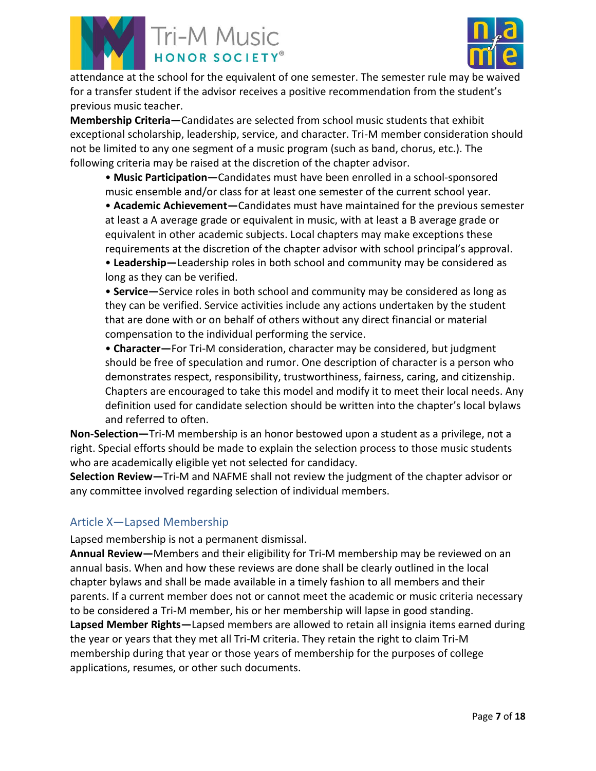



attendance at the school for the equivalent of one semester. The semester rule may be waived for a transfer student if the advisor receives a positive recommendation from the student's previous music teacher.

**Membership Criteria—**Candidates are selected from school music students that exhibit exceptional scholarship, leadership, service, and character. Tri-M member consideration should not be limited to any one segment of a music program (such as band, chorus, etc.). The following criteria may be raised at the discretion of the chapter advisor.

• **Music Participation—**Candidates must have been enrolled in a school-sponsored music ensemble and/or class for at least one semester of the current school year.

• **Academic Achievement—**Candidates must have maintained for the previous semester at least a A average grade or equivalent in music, with at least a B average grade or equivalent in other academic subjects. Local chapters may make exceptions these requirements at the discretion of the chapter advisor with school principal's approval.

• **Leadership—**Leadership roles in both school and community may be considered as long as they can be verified.

• **Service—**Service roles in both school and community may be considered as long as they can be verified. Service activities include any actions undertaken by the student that are done with or on behalf of others without any direct financial or material compensation to the individual performing the service.

• **Character—**For Tri-M consideration, character may be considered, but judgment should be free of speculation and rumor. One description of character is a person who demonstrates respect, responsibility, trustworthiness, fairness, caring, and citizenship. Chapters are encouraged to take this model and modify it to meet their local needs. Any definition used for candidate selection should be written into the chapter's local bylaws and referred to often.

**Non-Selection—**Tri-M membership is an honor bestowed upon a student as a privilege, not a right. Special efforts should be made to explain the selection process to those music students who are academically eligible yet not selected for candidacy.

**Selection Review—**Tri-M and NAFME shall not review the judgment of the chapter advisor or any committee involved regarding selection of individual members.

#### <span id="page-6-0"></span>Article X—Lapsed Membership

Lapsed membership is not a permanent dismissal.

**Annual Review—**Members and their eligibility for Tri-M membership may be reviewed on an annual basis. When and how these reviews are done shall be clearly outlined in the local chapter bylaws and shall be made available in a timely fashion to all members and their parents. If a current member does not or cannot meet the academic or music criteria necessary to be considered a Tri-M member, his or her membership will lapse in good standing. **Lapsed Member Rights—**Lapsed members are allowed to retain all insignia items earned during the year or years that they met all Tri-M criteria. They retain the right to claim Tri-M membership during that year or those years of membership for the purposes of college applications, resumes, or other such documents.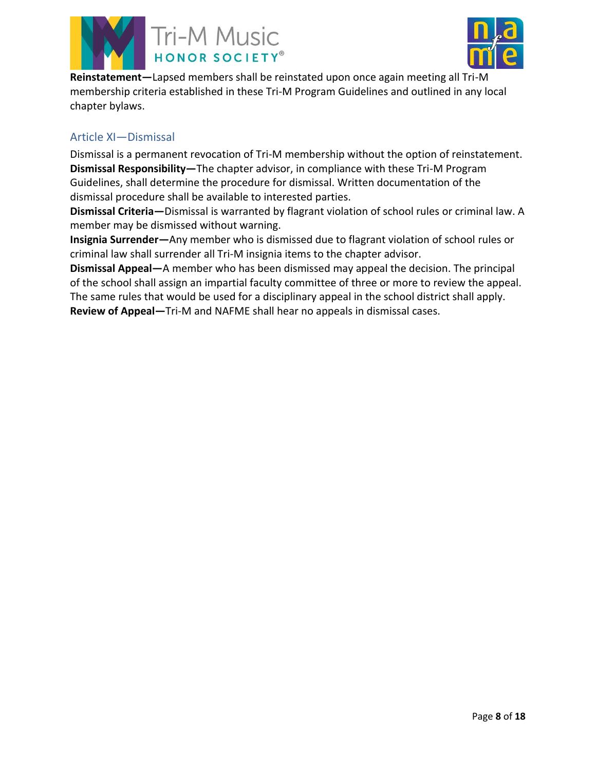



**Reinstatement—**Lapsed members shall be reinstated upon once again meeting all Tri-M membership criteria established in these Tri-M Program Guidelines and outlined in any local chapter bylaws.

#### <span id="page-7-0"></span>Article XI—Dismissal

Dismissal is a permanent revocation of Tri-M membership without the option of reinstatement. **Dismissal Responsibility—**The chapter advisor, in compliance with these Tri-M Program Guidelines, shall determine the procedure for dismissal. Written documentation of the dismissal procedure shall be available to interested parties.

**Dismissal Criteria—**Dismissal is warranted by flagrant violation of school rules or criminal law. A member may be dismissed without warning.

**Insignia Surrender—**Any member who is dismissed due to flagrant violation of school rules or criminal law shall surrender all Tri-M insignia items to the chapter advisor.

**Dismissal Appeal—**A member who has been dismissed may appeal the decision. The principal of the school shall assign an impartial faculty committee of three or more to review the appeal. The same rules that would be used for a disciplinary appeal in the school district shall apply. **Review of Appeal—**Tri-M and NAFME shall hear no appeals in dismissal cases.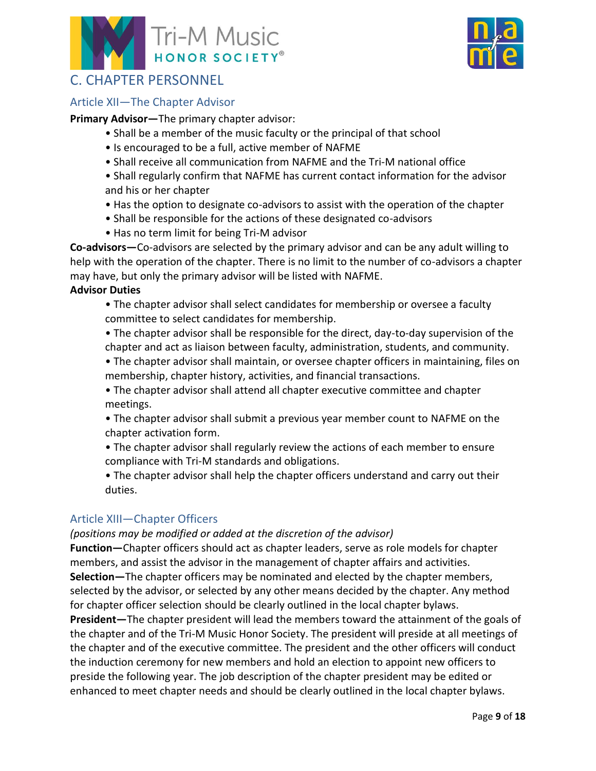



### <span id="page-8-0"></span>C. CHAPTER PERSONNEL

#### <span id="page-8-1"></span>Article XII—The Chapter Advisor

**Primary Advisor—**The primary chapter advisor:

- Shall be a member of the music faculty or the principal of that school
- Is encouraged to be a full, active member of NAFME
- Shall receive all communication from NAFME and the Tri-M national office
- Shall regularly confirm that NAFME has current contact information for the advisor and his or her chapter
- Has the option to designate co-advisors to assist with the operation of the chapter
- Shall be responsible for the actions of these designated co-advisors
- Has no term limit for being Tri-M advisor

**Co-advisors—**Co-advisors are selected by the primary advisor and can be any adult willing to help with the operation of the chapter. There is no limit to the number of co-advisors a chapter may have, but only the primary advisor will be listed with NAFME.

#### **Advisor Duties**

- The chapter advisor shall select candidates for membership or oversee a faculty committee to select candidates for membership.
- The chapter advisor shall be responsible for the direct, day-to-day supervision of the chapter and act as liaison between faculty, administration, students, and community.
- The chapter advisor shall maintain, or oversee chapter officers in maintaining, files on membership, chapter history, activities, and financial transactions.

• The chapter advisor shall attend all chapter executive committee and chapter meetings.

• The chapter advisor shall submit a previous year member count to NAFME on the chapter activation form.

- The chapter advisor shall regularly review the actions of each member to ensure compliance with Tri-M standards and obligations.
- The chapter advisor shall help the chapter officers understand and carry out their duties.

#### <span id="page-8-2"></span>Article XIII—Chapter Officers

#### *(positions may be modified or added at the discretion of the advisor)*

**Function—**Chapter officers should act as chapter leaders, serve as role models for chapter members, and assist the advisor in the management of chapter affairs and activities. **Selection—**The chapter officers may be nominated and elected by the chapter members, selected by the advisor, or selected by any other means decided by the chapter. Any method for chapter officer selection should be clearly outlined in the local chapter bylaws.

**President—**The chapter president will lead the members toward the attainment of the goals of the chapter and of the Tri-M Music Honor Society. The president will preside at all meetings of the chapter and of the executive committee. The president and the other officers will conduct the induction ceremony for new members and hold an election to appoint new officers to preside the following year. The job description of the chapter president may be edited or enhanced to meet chapter needs and should be clearly outlined in the local chapter bylaws.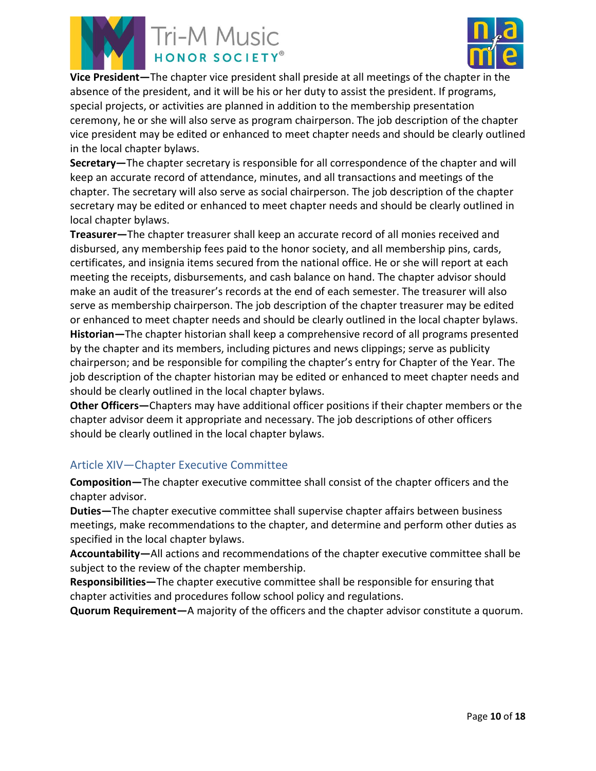



**Vice President—**The chapter vice president shall preside at all meetings of the chapter in the absence of the president, and it will be his or her duty to assist the president. If programs, special projects, or activities are planned in addition to the membership presentation ceremony, he or she will also serve as program chairperson. The job description of the chapter vice president may be edited or enhanced to meet chapter needs and should be clearly outlined in the local chapter bylaws.

**Secretary—**The chapter secretary is responsible for all correspondence of the chapter and will keep an accurate record of attendance, minutes, and all transactions and meetings of the chapter. The secretary will also serve as social chairperson. The job description of the chapter secretary may be edited or enhanced to meet chapter needs and should be clearly outlined in local chapter bylaws.

**Treasurer—**The chapter treasurer shall keep an accurate record of all monies received and disbursed, any membership fees paid to the honor society, and all membership pins, cards, certificates, and insignia items secured from the national office. He or she will report at each meeting the receipts, disbursements, and cash balance on hand. The chapter advisor should make an audit of the treasurer's records at the end of each semester. The treasurer will also serve as membership chairperson. The job description of the chapter treasurer may be edited or enhanced to meet chapter needs and should be clearly outlined in the local chapter bylaws. **Historian—**The chapter historian shall keep a comprehensive record of all programs presented by the chapter and its members, including pictures and news clippings; serve as publicity chairperson; and be responsible for compiling the chapter's entry for Chapter of the Year. The job description of the chapter historian may be edited or enhanced to meet chapter needs and should be clearly outlined in the local chapter bylaws.

**Other Officers—**Chapters may have additional officer positions if their chapter members or the chapter advisor deem it appropriate and necessary. The job descriptions of other officers should be clearly outlined in the local chapter bylaws.

#### <span id="page-9-0"></span>Article XIV—Chapter Executive Committee

**Composition—**The chapter executive committee shall consist of the chapter officers and the chapter advisor.

**Duties—**The chapter executive committee shall supervise chapter affairs between business meetings, make recommendations to the chapter, and determine and perform other duties as specified in the local chapter bylaws.

**Accountability—**All actions and recommendations of the chapter executive committee shall be subject to the review of the chapter membership.

**Responsibilities—**The chapter executive committee shall be responsible for ensuring that chapter activities and procedures follow school policy and regulations.

**Quorum Requirement—**A majority of the officers and the chapter advisor constitute a quorum.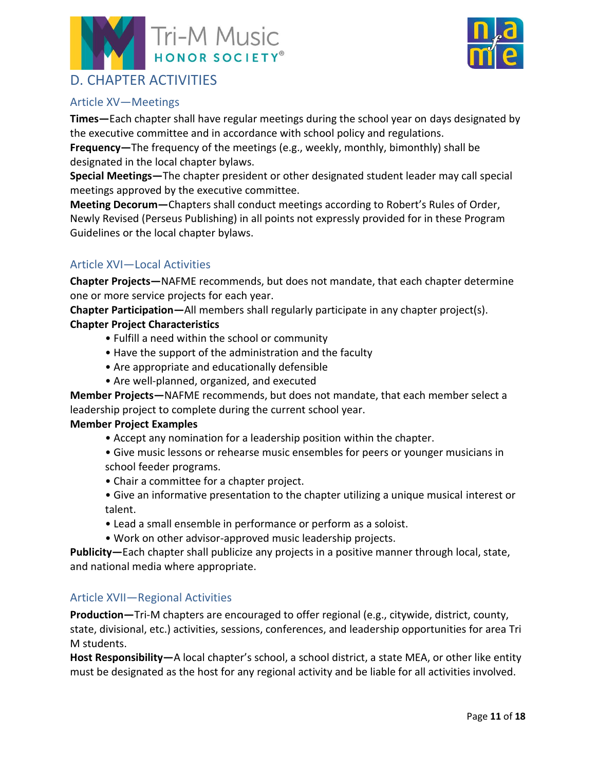



# <span id="page-10-0"></span>D. CHAPTER ACTIVITIES

#### <span id="page-10-1"></span>Article XV—Meetings

**Times—**Each chapter shall have regular meetings during the school year on days designated by the executive committee and in accordance with school policy and regulations.

**Frequency—**The frequency of the meetings (e.g., weekly, monthly, bimonthly) shall be designated in the local chapter bylaws.

**Special Meetings—**The chapter president or other designated student leader may call special meetings approved by the executive committee.

**Meeting Decorum—**Chapters shall conduct meetings according to Robert's Rules of Order, Newly Revised (Perseus Publishing) in all points not expressly provided for in these Program Guidelines or the local chapter bylaws.

#### <span id="page-10-2"></span>Article XVI—Local Activities

**Chapter Projects—**NAFME recommends, but does not mandate, that each chapter determine one or more service projects for each year.

**Chapter Participation—**All members shall regularly participate in any chapter project(s).

#### **Chapter Project Characteristics**

- Fulfill a need within the school or community
- Have the support of the administration and the faculty
- Are appropriate and educationally defensible
- Are well-planned, organized, and executed

**Member Projects—**NAFME recommends, but does not mandate, that each member select a leadership project to complete during the current school year.

#### **Member Project Examples**

- Accept any nomination for a leadership position within the chapter.
- Give music lessons or rehearse music ensembles for peers or younger musicians in school feeder programs.
- Chair a committee for a chapter project.
- Give an informative presentation to the chapter utilizing a unique musical interest or talent.
- Lead a small ensemble in performance or perform as a soloist.
- Work on other advisor-approved music leadership projects.

**Publicity—**Each chapter shall publicize any projects in a positive manner through local, state, and national media where appropriate.

#### <span id="page-10-3"></span>Article XVII—Regional Activities

**Production—**Tri-M chapters are encouraged to offer regional (e.g., citywide, district, county, state, divisional, etc.) activities, sessions, conferences, and leadership opportunities for area Tri M students.

**Host Responsibility—**A local chapter's school, a school district, a state MEA, or other like entity must be designated as the host for any regional activity and be liable for all activities involved.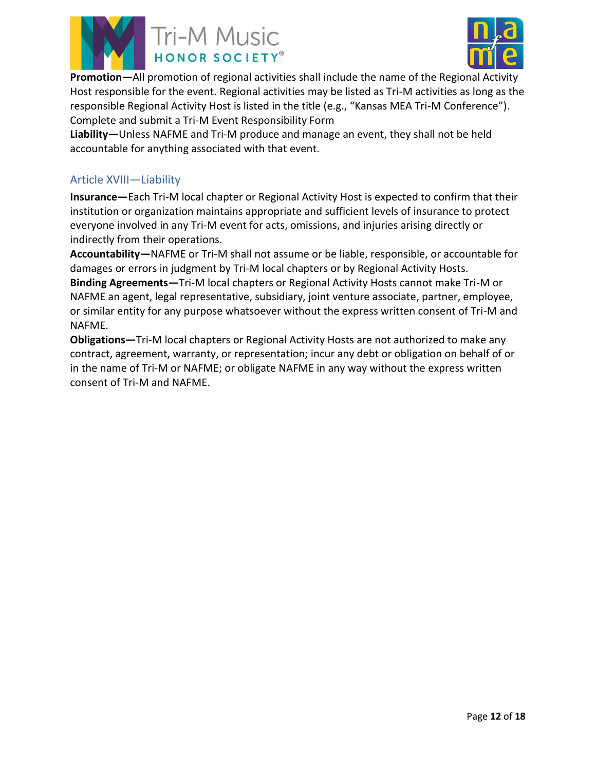

# **FI-M Music** HONOR SOCIETY®



**Promotion—**All promotion of regional activities shall include the name of the Regional Activity Host responsible for the event. Regional activities may be listed as Tri-M activities as long as the responsible Regional Activity Host is listed in the title (e.g., "Kansas MEA Tri-M Conference"). Complete and submit a Tri-M Event Responsibility Form

**Liability—**Unless NAFME and Tri-M produce and manage an event, they shall not be held accountable for anything associated with that event.

#### <span id="page-11-0"></span>Article XVIII—Liability

**Insurance—**Each Tri-M local chapter or Regional Activity Host is expected to confirm that their institution or organization maintains appropriate and sufficient levels of insurance to protect everyone involved in any Tri-M event for acts, omissions, and injuries arising directly or indirectly from their operations.

**Accountability—**NAFME or Tri-M shall not assume or be liable, responsible, or accountable for damages or errors in judgment by Tri-M local chapters or by Regional Activity Hosts.

**Binding Agreements—**Tri-M local chapters or Regional Activity Hosts cannot make Tri-M or NAFME an agent, legal representative, subsidiary, joint venture associate, partner, employee, or similar entity for any purpose whatsoever without the express written consent of Tri-M and NAFME.

**Obligations—**Tri-M local chapters or Regional Activity Hosts are not authorized to make any contract, agreement, warranty, or representation; incur any debt or obligation on behalf of or in the name of Tri-M or NAFME; or obligate NAFME in any way without the express written consent of Tri-M and NAFME.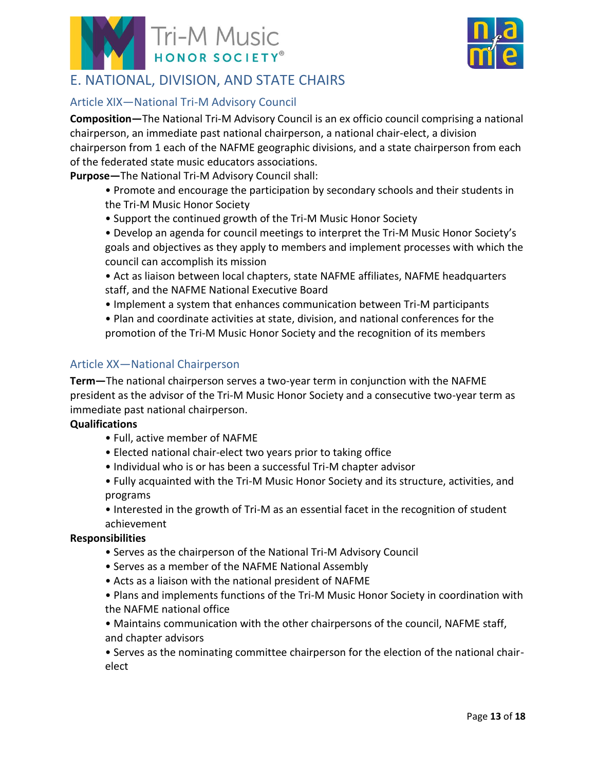



## <span id="page-12-0"></span>E. NATIONAL, DIVISION, AND STATE CHAIRS

#### <span id="page-12-1"></span>Article XIX—National Tri-M Advisory Council

**Composition—**The National Tri-M Advisory Council is an ex officio council comprising a national chairperson, an immediate past national chairperson, a national chair-elect, a division chairperson from 1 each of the NAFME geographic divisions, and a state chairperson from each of the federated state music educators associations.

**Purpose—**The National Tri-M Advisory Council shall:

- Promote and encourage the participation by secondary schools and their students in the Tri-M Music Honor Society
- Support the continued growth of the Tri-M Music Honor Society
- Develop an agenda for council meetings to interpret the Tri-M Music Honor Society's goals and objectives as they apply to members and implement processes with which the council can accomplish its mission
- Act as liaison between local chapters, state NAFME affiliates, NAFME headquarters staff, and the NAFME National Executive Board
- Implement a system that enhances communication between Tri-M participants
- Plan and coordinate activities at state, division, and national conferences for the promotion of the Tri-M Music Honor Society and the recognition of its members

#### <span id="page-12-2"></span>Article XX—National Chairperson

**Term—**The national chairperson serves a two-year term in conjunction with the NAFME president as the advisor of the Tri-M Music Honor Society and a consecutive two-year term as immediate past national chairperson.

#### **Qualifications**

- Full, active member of NAFME
- Elected national chair-elect two years prior to taking office
- Individual who is or has been a successful Tri-M chapter advisor
- Fully acquainted with the Tri-M Music Honor Society and its structure, activities, and programs
- Interested in the growth of Tri-M as an essential facet in the recognition of student achievement

#### **Responsibilities**

- Serves as the chairperson of the National Tri-M Advisory Council
- Serves as a member of the NAFME National Assembly
- Acts as a liaison with the national president of NAFME
- Plans and implements functions of the Tri-M Music Honor Society in coordination with the NAFME national office
- Maintains communication with the other chairpersons of the council, NAFME staff, and chapter advisors

• Serves as the nominating committee chairperson for the election of the national chairelect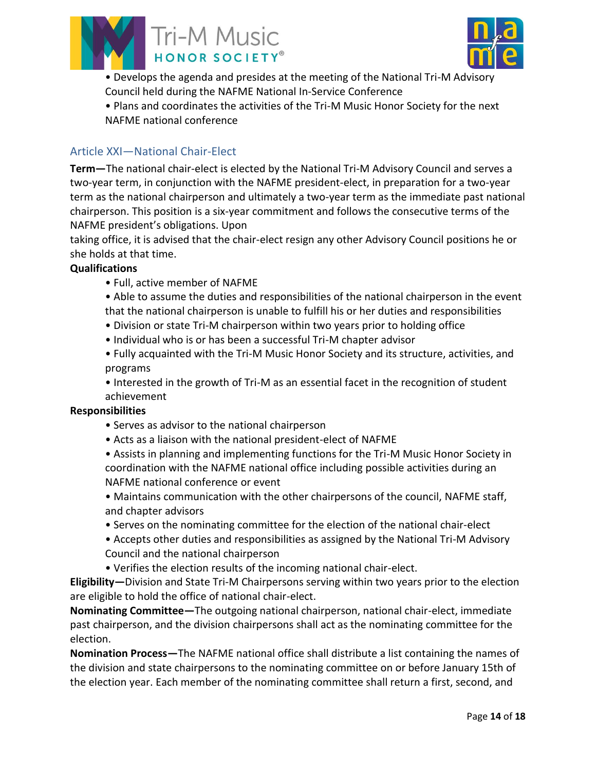



• Develops the agenda and presides at the meeting of the National Tri-M Advisory Council held during the NAFME National In-Service Conference

• Plans and coordinates the activities of the Tri-M Music Honor Society for the next NAFME national conference

#### <span id="page-13-0"></span>Article XXI—National Chair-Elect

**Term—**The national chair-elect is elected by the National Tri-M Advisory Council and serves a two-year term, in conjunction with the NAFME president-elect, in preparation for a two-year term as the national chairperson and ultimately a two-year term as the immediate past national chairperson. This position is a six-year commitment and follows the consecutive terms of the NAFME president's obligations. Upon

taking office, it is advised that the chair-elect resign any other Advisory Council positions he or she holds at that time.

#### **Qualifications**

- Full, active member of NAFME
- Able to assume the duties and responsibilities of the national chairperson in the event that the national chairperson is unable to fulfill his or her duties and responsibilities
- Division or state Tri-M chairperson within two years prior to holding office
- Individual who is or has been a successful Tri-M chapter advisor
- Fully acquainted with the Tri-M Music Honor Society and its structure, activities, and programs
- Interested in the growth of Tri-M as an essential facet in the recognition of student achievement

#### **Responsibilities**

- Serves as advisor to the national chairperson
- Acts as a liaison with the national president-elect of NAFME
- Assists in planning and implementing functions for the Tri-M Music Honor Society in coordination with the NAFME national office including possible activities during an NAFME national conference or event
- Maintains communication with the other chairpersons of the council, NAFME staff, and chapter advisors
- Serves on the nominating committee for the election of the national chair-elect
- Accepts other duties and responsibilities as assigned by the National Tri-M Advisory Council and the national chairperson
- Verifies the election results of the incoming national chair-elect.

**Eligibility—**Division and State Tri-M Chairpersons serving within two years prior to the election are eligible to hold the office of national chair-elect.

**Nominating Committee—**The outgoing national chairperson, national chair-elect, immediate past chairperson, and the division chairpersons shall act as the nominating committee for the election.

**Nomination Process—**The NAFME national office shall distribute a list containing the names of the division and state chairpersons to the nominating committee on or before January 15th of the election year. Each member of the nominating committee shall return a first, second, and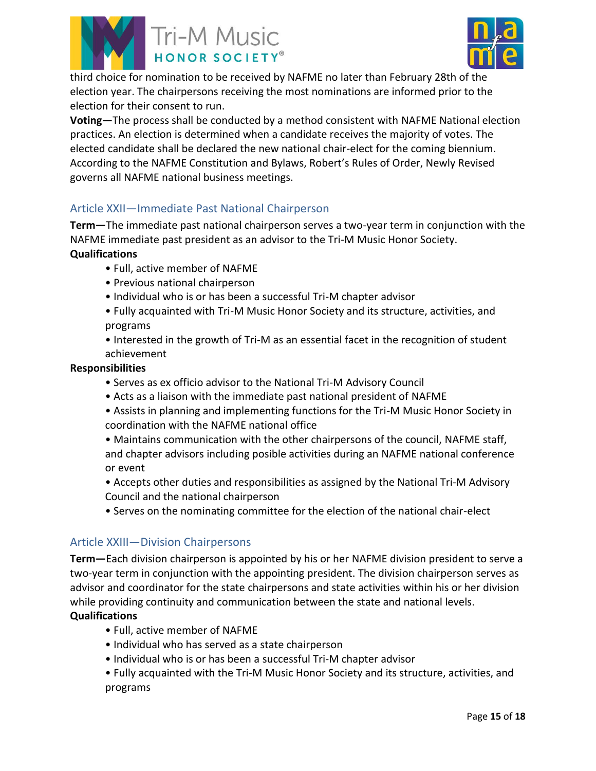



third choice for nomination to be received by NAFME no later than February 28th of the election year. The chairpersons receiving the most nominations are informed prior to the election for their consent to run.

**Voting—**The process shall be conducted by a method consistent with NAFME National election practices. An election is determined when a candidate receives the majority of votes. The elected candidate shall be declared the new national chair-elect for the coming biennium. According to the NAFME Constitution and Bylaws, Robert's Rules of Order, Newly Revised governs all NAFME national business meetings.

#### <span id="page-14-0"></span>Article XXII—Immediate Past National Chairperson

**Term—**The immediate past national chairperson serves a two-year term in conjunction with the NAFME immediate past president as an advisor to the Tri-M Music Honor Society. **Qualifications**

- Full, active member of NAFME
- Previous national chairperson
- Individual who is or has been a successful Tri-M chapter advisor
- Fully acquainted with Tri-M Music Honor Society and its structure, activities, and programs

• Interested in the growth of Tri-M as an essential facet in the recognition of student achievement

#### **Responsibilities**

- Serves as ex officio advisor to the National Tri-M Advisory Council
- Acts as a liaison with the immediate past national president of NAFME
- Assists in planning and implementing functions for the Tri-M Music Honor Society in coordination with the NAFME national office
- Maintains communication with the other chairpersons of the council, NAFME staff, and chapter advisors including posible activities during an NAFME national conference or event
- Accepts other duties and responsibilities as assigned by the National Tri-M Advisory Council and the national chairperson
- Serves on the nominating committee for the election of the national chair-elect

#### <span id="page-14-1"></span>Article XXIII—Division Chairpersons

**Term—**Each division chairperson is appointed by his or her NAFME division president to serve a two-year term in conjunction with the appointing president. The division chairperson serves as advisor and coordinator for the state chairpersons and state activities within his or her division while providing continuity and communication between the state and national levels.

#### **Qualifications**

- Full, active member of NAFME
- Individual who has served as a state chairperson
- Individual who is or has been a successful Tri-M chapter advisor
- Fully acquainted with the Tri-M Music Honor Society and its structure, activities, and programs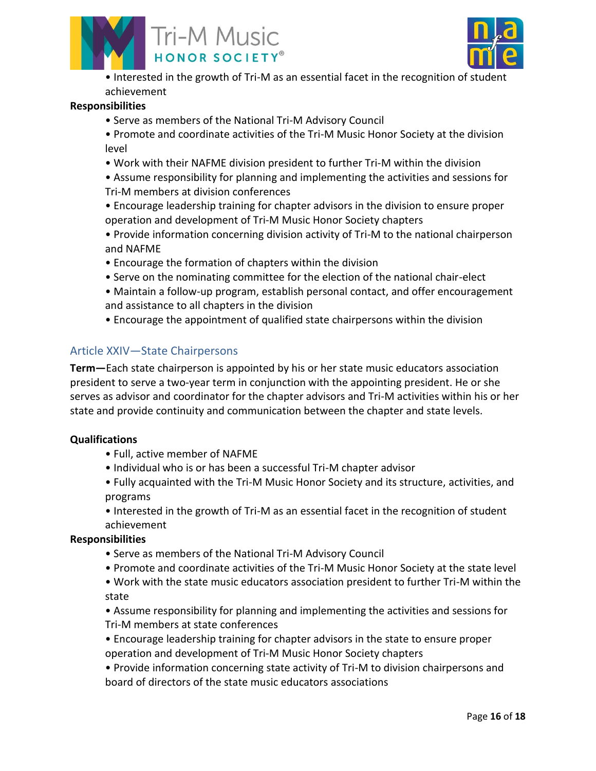



• Interested in the growth of Tri-M as an essential facet in the recognition of student achievement

#### **Responsibilities**

- Serve as members of the National Tri-M Advisory Council
- Promote and coordinate activities of the Tri-M Music Honor Society at the division level
- Work with their NAFME division president to further Tri-M within the division
- Assume responsibility for planning and implementing the activities and sessions for Tri-M members at division conferences
- Encourage leadership training for chapter advisors in the division to ensure proper operation and development of Tri-M Music Honor Society chapters
- Provide information concerning division activity of Tri-M to the national chairperson and NAFME
- Encourage the formation of chapters within the division
- Serve on the nominating committee for the election of the national chair-elect
- Maintain a follow-up program, establish personal contact, and offer encouragement and assistance to all chapters in the division
- Encourage the appointment of qualified state chairpersons within the division

#### <span id="page-15-0"></span>Article XXIV—State Chairpersons

**Term—**Each state chairperson is appointed by his or her state music educators association president to serve a two-year term in conjunction with the appointing president. He or she serves as advisor and coordinator for the chapter advisors and Tri-M activities within his or her state and provide continuity and communication between the chapter and state levels.

#### **Qualifications**

- Full, active member of NAFME
- Individual who is or has been a successful Tri-M chapter advisor
- Fully acquainted with the Tri-M Music Honor Society and its structure, activities, and programs
- Interested in the growth of Tri-M as an essential facet in the recognition of student achievement

#### **Responsibilities**

- Serve as members of the National Tri-M Advisory Council
- Promote and coordinate activities of the Tri-M Music Honor Society at the state level
- Work with the state music educators association president to further Tri-M within the state
- Assume responsibility for planning and implementing the activities and sessions for Tri-M members at state conferences
- Encourage leadership training for chapter advisors in the state to ensure proper operation and development of Tri-M Music Honor Society chapters
- Provide information concerning state activity of Tri-M to division chairpersons and board of directors of the state music educators associations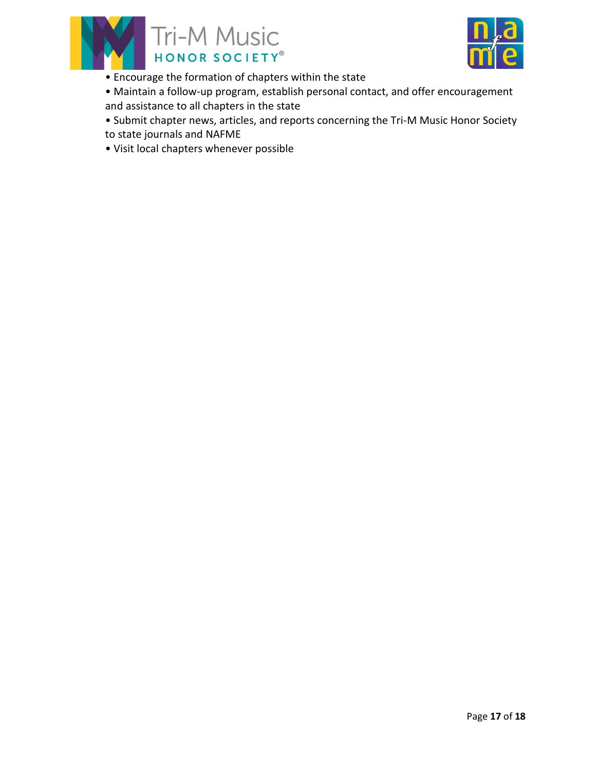



• Encourage the formation of chapters within the state

• Maintain a follow-up program, establish personal contact, and offer encouragement and assistance to all chapters in the state

• Submit chapter news, articles, and reports concerning the Tri-M Music Honor Society to state journals and NAFME

• Visit local chapters whenever possible